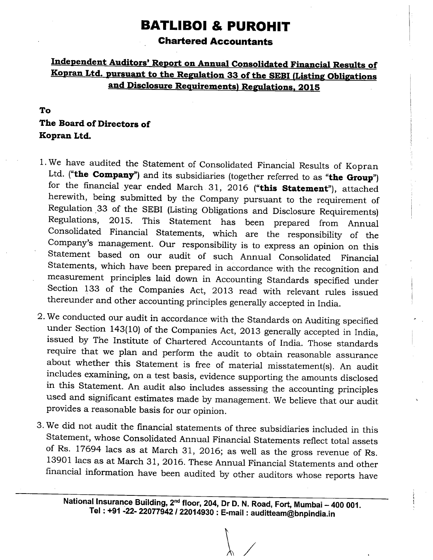# **BATLIBOI & PUROHIT**

#### **Chartered Accountants**

### Independent Auditors' Report on Annual Consolidated Financial Results of Kopran Ltd. pursuant to the Regulation 33 of the SEBI (Listing Obligations and Disclosure Requirements) Regulations, 2015

### To The Board of Directors of Kopran Ltd.

- 1. We have audited the Statement of Consolidated Financial Results of Kopran Ltd. ("the Company") and its subsidiaries (together referred to as "the Group") for the financial year ended March 31, 2016 ("this Statement"), attached herewith, being submitted by the Company pursuant to the requirement of Regulation 33 of the SEBI (Listing Obligations and Disclosure Requirements) 2015. This Statement has been prepared from Annual Regulations. Consolidated Financial Statements, which are the responsibility of the Company's management. Our responsibility is to express an opinion on this Statement based on our audit of such Annual Consolidated Financial Statements, which have been prepared in accordance with the recognition and measurement principles laid down in Accounting Standards specified under Section 133 of the Companies Act, 2013 read with relevant rules issued thereunder and other accounting principles generally accepted in India.
- 2. We conducted our audit in accordance with the Standards on Auditing specified under Section 143(10) of the Companies Act, 2013 generally accepted in India, issued by The Institute of Chartered Accountants of India. Those standards require that we plan and perform the audit to obtain reasonable assurance about whether this Statement is free of material misstatement(s). An audit includes examining, on a test basis, evidence supporting the amounts disclosed in this Statement. An audit also includes assessing the accounting principles used and significant estimates made by management. We believe that our audit provides a reasonable basis for our opinion.
- 3. We did not audit the financial statements of three subsidiaries included in this Statement, whose Consolidated Annual Financial Statements reflect total assets of Rs. 17694 lacs as at March 31, 2016; as well as the gross revenue of Rs. 13901 lacs as at March 31, 2016. These Annual Financial Statements and other financial information have been audited by other auditors whose reports have

National Insurance Building, 2<sup>nd</sup> floor, 204, Dr D. N. Road, Fort, Mumbai - 400 001. Tel:+91 -22- 22077942 / 22014930:E-mail:auditteam@bnpindia.in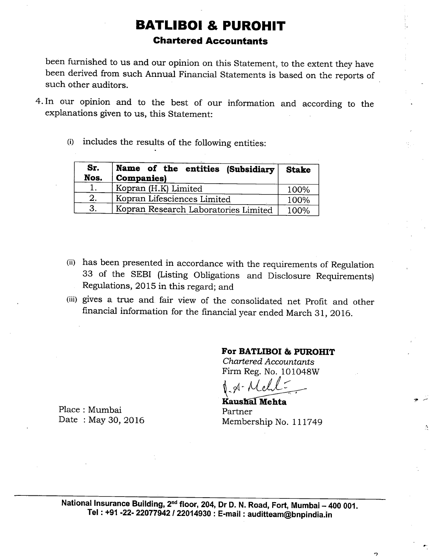### **BATLIBOI & PUROHIT Chartered Accountants**

been furnished to us and our opinion on this Statement, to the extent they have been derived from such Annual Financial Statements is based on the reports of such other auditors.

- 4. In our opinion and to the best of our information and according to the explanations given to us, this Statement:
	- (i) includes the results of the following entities:

| Sr.<br>Nos. | Name of the entities (Subsidiary<br><b>Companies</b> ) | <b>Stake</b> |
|-------------|--------------------------------------------------------|--------------|
|             | Kopran (H.K) Limited                                   | 100%         |
| 2.          | Kopran Lifesciences Limited                            | 100%         |
| 3.          | Kopran Research Laboratories Limited                   | 100%         |

- (ii) has been presented in accordance with the requirements of Regulation 33 of the SEBI (Listing Obligations and Disclosure Requirements) Regulations, 2015 in this regard; and
- (iii) gives a true and fair view of the consolidated net Profit and other financial information for the financial year ended March 31, 2016.

#### For BATLIBOI & PUROHIT

Chartered Accountants Firm Reg. No. 101048W

**Kaushal Mehta** Partner Membership No. 111749

 $\overline{z}$ 

Place: Mumbai Date: May 30, 2016

National Insurance Building, 2<sup>nd</sup> floor, 204, Dr D. N. Road, Fort, Mumbai - 400 001. Tel: +91 -22- 22077942 / 22014930 : E-mail: auditteam@bnpindia.in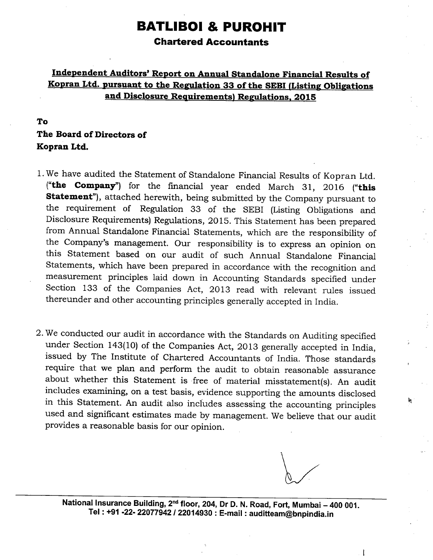# **BATLIBOI & PUROHIT**

#### **Chartered Accountants**

#### Independent Auditors' Report on Annual Standalone Financial Results of Kopran Ltd. pursuant to the Regulation 33 of the SEBI (Listing Obligations and Disclosure Requirements) Regulations, 2015

#### To

### The Board of Directors of Kopran Ltd.

- 1. We have audited the Statement of Standalone Financial Results of Kopran Ltd. ("the Company") for the financial year ended March 31, 2016 ("this Statement"), attached herewith, being submitted by the Company pursuant to the requirement of Regulation 33 of the SEBI (Listing Obligations and Disclosure Requirements) Regulations, 2015. This Statement has been prepared from Annual Standalone Financial Statements, which are the responsibility of the Company's management. Our responsibility is to express an opinion on this Statement based on our audit of such Annual Standalone Financial Statements, which have been prepared in accordance with the recognition and measurement principles laid down in Accounting Standards specified under Section 133 of the Companies Act, 2013 read with relevant rules issued thereunder and other accounting principles generally accepted in India.
- 2. We conducted our audit in accordance with the Standards on Auditing specified under Section 143(10) of the Companies Act, 2013 generally accepted in India, issued by The Institute of Chartered Accountants of India. Those standards require that we plan and perform the audit to obtain reasonable assurance about whether this Statement is free of material misstatement(s). An audit includes examining, on a test basis, evidence supporting the amounts disclosed in this Statement. An audit also includes assessing the accounting principles used and significant estimates made by management. We believe that our audit provides a reasonable basis for our opinion.

National Insurance Building, 2<sup>nd</sup> floor, 204, Dr D. N. Road, Fort, Mumbai - 400 001. Tel: +91 -22- 22077942 / 22014930 : E-mail: auditteam@bnpindia.in

ľ

h.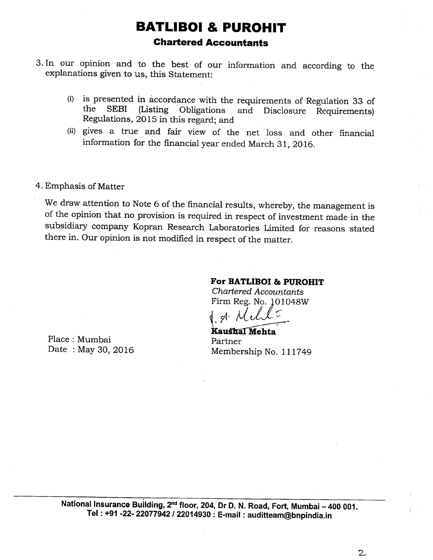## **BATLIBOI & PUROHIT Chartered Accountants**

- 3. In our opinion and to the best of our information and according to the explanations given to us, this Statement:
	- (i) is presented in accordance with the requirements of Regulation 33 of the **SEBI** (Listing Obligations and Disclosure Requirements) Regulations, 2015 in this regard; and
	- (ii) gives a true and fair view of the net loss and other financial information for the financial year ended March 31, 2016.

4. Emphasis of Matter

We draw attention to Note 6 of the financial results, whereby, the management is of the opinion that no provision is required in respect of investment made in the subsidiary company Kopran Research Laboratories Limited for reasons stated there in. Our opinion is not modified in respect of the matter.

#### For BATLIBOI & PUROHIT

**Chartered Accountants** Firm Reg. No. 101048W

Kaushal Mehta Partner Membership No. 111749

Place: Mumbai Date: May 30, 2016

> National Insurance Building, 2<sup>nd</sup> floor, 204, Dr D. N. Road, Fort, Mumbai - 400 001. Tel: +91 -22- 22077942 / 22014930 : E-mail: auditteam@bnpindia.in

> > $\overline{2}$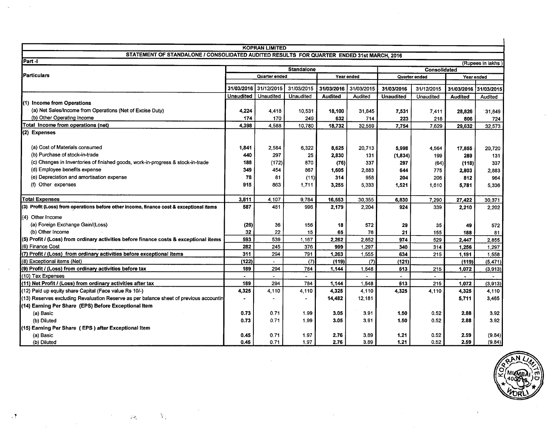|                                                                                           |                                          | <b>KOPRAN LIMITED</b>       |            |                |                             |                  |            |                       |                  |
|-------------------------------------------------------------------------------------------|------------------------------------------|-----------------------------|------------|----------------|-----------------------------|------------------|------------|-----------------------|------------------|
| STATEMENT OF STANDALONE / CONSOLIDATED AUDITED RESULTS FOR QUARTER ENDED 31st MARCH, 2016 |                                          |                             |            |                |                             |                  |            |                       |                  |
| Part -                                                                                    |                                          |                             |            |                |                             |                  |            |                       | (Rupees in lakhs |
|                                                                                           | <b>Standalone</b><br><b>Consolidated</b> |                             |            |                |                             |                  |            |                       |                  |
| Particulars                                                                               |                                          | Quarter ended<br>Year ended |            |                | Quarter ended<br>Year ended |                  |            |                       |                  |
|                                                                                           |                                          |                             |            |                |                             |                  |            |                       |                  |
|                                                                                           | 31/03/2016                               | 31/12/2015                  | 31/03/2015 | 31/03/2016     | 31/03/2015                  | 31/03/2016       | 31/12/2015 | 31/03/2016 31/03/2015 |                  |
|                                                                                           | <b>Unaudited</b>                         | <b>Unaudited</b>            | Unaudited  | <b>Audited</b> | Audited                     | <b>Unaudited</b> | Unaudited  | <b>Audited</b>        | Audited          |
| (1) Income from Operations                                                                |                                          |                             |            |                |                             |                  |            |                       |                  |
| (a) Net Sales/Income from Operations (Net of Excise Duty)                                 | 4,224                                    | 4,418                       | 10,531     | 18,100         | 31,845                      | 7,531            | 7,411      | 28,826                | 31,849           |
| (b) Other Operating Income                                                                | 174                                      | 170                         | 249        | 632            | 714                         | 223              | 218        | 806                   | 724              |
| Total Income from operations (net)                                                        | 4,398                                    | 4,588                       | 10,780     | 18,732         | 32,559                      | 7,754            | 7,629      | 29,632                | 32,573           |
| (2) Expenses                                                                              |                                          |                             |            |                |                             |                  |            |                       |                  |
| (a) Cost of Materials consumed                                                            | 1,841                                    | 2.584                       | 6,322      | 8.625          | 20,713                      | 5,998            | 4,564      | 17,855                | 20,720           |
| (b) Purchase of stock-in-trade                                                            | 440                                      | 297                         | 25         | 2,830          | 131                         | (1, 834)         | 199        | 289                   | 131              |
| (c) Changes in Inventories of finished goods, work-in-progress & stock-in-trade           | 188                                      | (172)                       | 870        | (76)           | 337                         | 297              | (64)       | (118)                 | 337              |
| (d) Employee benefits expense                                                             | 349                                      | 454                         | 867        | 1,605          | 2,883                       | 644              | 775        | 2,803                 | 2,883            |
| (e) Depreciation and amortisation expense                                                 | 78                                       | 81                          | (11)       | 314            | 958                         | 204              | 206        | 812                   | 964              |
| (f) Other expenses                                                                        | 915                                      | 863                         | 1,711      | 3,255          | 5.333                       | 1,521            | 1.610      | 5,781                 | 5,336            |
|                                                                                           |                                          |                             |            |                |                             |                  |            |                       |                  |
| <b>Total Expenses</b>                                                                     | 3,811                                    | 4.107                       | 9,784      | 16,553         | 30,355                      | 6,830            | 7.290      | 27,422                | 30,371           |
| (3) Profit (Loss) from operations before other income, finance cost & exceptional items   | 587                                      | 481                         | 996        | 2,179          | 2.204                       | 924              | 339        | 2,210                 | 2,202            |
| (4) Other Income                                                                          |                                          |                             |            |                |                             |                  |            |                       |                  |
| (a) Foreign Exchange Gain/(Loss)                                                          | (26)                                     | 36                          | 156        | 18             | 572                         | 29               | 35         | 49                    | 572              |
| (b) Other Income                                                                          | 32                                       | 22                          | 15         | 65             | 76                          | 21               | 155        | 188                   | 81               |
| (5) Profit / (Loss) from ordinary activities before finance costs & exceptional items     | 593                                      | 539                         | 1,167      | 2.262          | 2,852                       | 974              | 529        | 2,447                 | 2.855            |
| (6) Finance Cost                                                                          | 282                                      | 245                         | 376        | 999            | 1,297                       | 340              | 314        | 1,256                 | 1,297            |
| (7) Profit / (Loss) from ordinary activities before exceptional items                     | 311                                      | 294                         | 791        | 1,263          | 1,555                       | 634              | 215        | 1,191                 | 1,558            |
| (8) Exceptional items (Net)                                                               | (122)                                    |                             | (7)        | (119)          | (7)                         | (121)            |            | (119)                 | (5, 471)         |
| (9) Profit / (Loss) from ordinary activities before tax                                   | 189                                      | 294                         | 784        | 1.144          | 1.548                       | 513              | 215        | 1,072                 | (3,913)          |
| (10) Tax Expenses                                                                         |                                          |                             |            |                | $\blacksquare$              |                  |            | $\bullet$             |                  |
| (11) Net Profit / (Loss) from ordinary activities after tax                               | 189                                      | 294                         | 784        | 1,144          | 1,548                       | 513              | 215        | 1,072                 | (3,913)          |
| (12) Paid up equity share Capital (Face value Rs 10/-)                                    | 4,325                                    | 4,110                       | 4,110      | 4,325          | 4,110                       | 4,325            | 4,110      | 4,325                 | 4,110            |
| (13) Reserves excluding Revaluation Reserve as per balance sheet of previous accountin    |                                          |                             |            | 14,482         | 12,181                      |                  |            | 5,711                 | 3,465            |
| (14) Earning Per Share (EPS) Before Exceptional Item                                      |                                          |                             |            |                |                             |                  |            |                       |                  |
| (a) Basic                                                                                 | 0.73                                     | 0.71                        | 1.99       | 3.05           | 3.91                        | 1.50             | 0.52       | 2.88                  | 3.92             |
| (b) Diluted                                                                               | 0.73                                     | 0.71                        | 1.99       | 3.05           | 3.91                        | 1.50             | 0.52       | 2.88                  | 3.92             |
| (15) Earning Per Share (EPS) after Exceptional Item                                       |                                          |                             |            |                |                             |                  |            |                       |                  |
| (a) Basic                                                                                 | 0.45                                     | 0.71                        | 1.97       | 2.76           | 3.89                        | 1.21             | 0.52       | 2.59                  | (9.84)           |
| (b) Diluted                                                                               | 0.45                                     | 0.71                        | 1.97       | 2.76           | 3.89                        | 1.21             | 0.52       | 2.59                  | (9.84)           |



 $J(\mathcal{P}_k)$ 

Y,

 $\cdot$  1

 $\hat{\mathbf{r}}$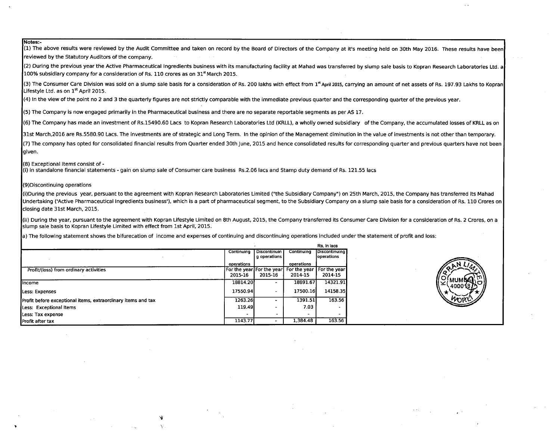#### Notes:-

 $(1)$  The above results were reviewed by the Audit Committee and taken on record by the Board of Directors of the Company at it's meeting held on 30th May 2016. These results have been reviewed by the Statutory Auditors of the company. (2) During the previous year the Active Pharmaceutical Ingredients business with its manufacturing facility at Mahad was transferred by slump sale basis to Kopran Research Laboratories Ltd. a 100% subsidiary company for a consideration of Rs. 110 crores as on  $31<sup>st</sup>$  March 2015. Luo% subsidiary company for a co.<br>(3) The Consumer Care Division w<br>Lifestyle Ltd. as on 1<sup>st</sup> April 2015. (3) The Consumer Care Division was sold on a slump sale basis for a consideration of Rs. 200 lakhs with effect from 1\* April 2015, carrying an amount of net assets of Rs. 197.93 Lakhs to Kopran (4) In the view of the point no 2 and 3 the quarterly figures are not strictly comparable with the immediate previous quarter and the corresponding quarter of the previous year. (5) The Company is now engaged primarily in the Pharmaceutical business and there are no separate reportable segments as per AS 17. (6) The Company has made an investment of Rs.15490.60 Lacs to Kopran Research Laboratories Ltd (KRLL), a wholly owned subsidiary of the Company, the accumulated losses of KRLL as on 31st March,2016 are Rs.5580.90 Lacs. The investments are of strategic and Long Term. In the opinion of the Management diminution in the value of investments is not other than temporary. (7) The company has opted for consolidated financial results from Quarter ended 30th June, 2015 and hence consolidated results for corresponding quarter and previous quarters have not been laiven. (8) Exceptional Items consist of -<br>(i) in standalone financial statements - gain on slump sale of Consumer care business Rs.2.06 lacs and Stamp duty demand of Rs. 121.55 lacs (9)Discontinuing operations (i)During the previous year, persuant to the agreement with Kopran Research Laboratories Limited ("the Subsidiary Company") on 25th March, 2015, the Company has transferred its Mahad Undertaking ('Active Pharmaceutical Ingredients business'), which is a part of pharmaceutical segment, to the Subsidiary Company on a slump sale basis for a consideration of Rs. 110 Crores on closing date 31st March, 2015. (ii) During the year, pursuant to the agreement with Kopran Lifestyle Limited on 8th August, 2015, the Company transferred its Consumer Care Division for a consideration of Rs. 2 Crores, on a slump sale basis to Kopran Lifestyle Limited with effect from 1st April, 2015. a) The following statement shows the bifurecation of income and expenses of continuing and discontinuing operations included under the statement of profit and loss: Rs. In lacs Continuing Discontinuin Continuing Discontinuing g operations operations operations operations Profit/(loss) from ordinary activities For the year For the year For the year For the year 2015-16 2015-16 2014-15 2014-15 18814.20 18891.67 14321.91 Income Less: Expenses 17550.94  $\sim$ 17500.16 14158.35 1263.26 1391.51 163.56 Profit before exceptional items, extraordinary items and tax  $\blacksquare$ 119.49 7.03 Less: Exceptional Items  $\sim$ Less: Tax expense 1,384.48 163.56 Profit after tax 1143.77

۰,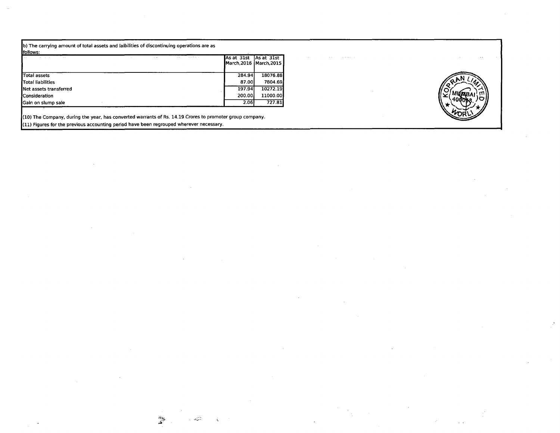b) The carrying amount of total assets and laibilities of discontinuing operations are as

| lfollows:              |                      |  |        |                                                    |
|------------------------|----------------------|--|--------|----------------------------------------------------|
|                        | $\sim$ $\sim$ $\sim$ |  |        | As at 31st As at 31st<br>  March.2016   March.2015 |
| <b>Total assets</b>    |                      |  | 284.94 | 18076.88                                           |
| Total liabilities      |                      |  | 87.00  | 7804.69                                            |
| Net assets transferred |                      |  | 197.94 | 10272.19                                           |
| Consideration          |                      |  | 200.00 | 11000.00                                           |
| Gain on slump sale     |                      |  | 2.06   | 727.81                                             |

(10) The Company, during the year, has converted warrants of Rs. 14.19 Crores to promoter group company. (11) Figures for the previous accounting period have been regrouped wherever necessary.

 $\mathcal{L}$ 

تن ر.